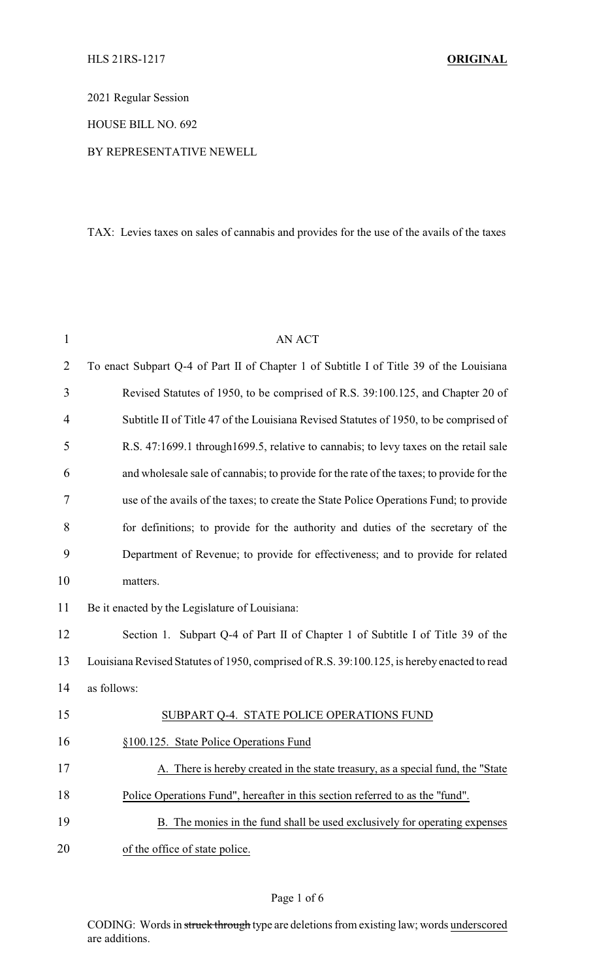2021 Regular Session

HOUSE BILL NO. 692

#### BY REPRESENTATIVE NEWELL

## TAX: Levies taxes on sales of cannabis and provides for the use of the avails of the taxes

| $\mathbf{1}$   | <b>AN ACT</b>                                                                               |
|----------------|---------------------------------------------------------------------------------------------|
| $\overline{2}$ | To enact Subpart Q-4 of Part II of Chapter 1 of Subtitle I of Title 39 of the Louisiana     |
| 3              | Revised Statutes of 1950, to be comprised of R.S. 39:100.125, and Chapter 20 of             |
| 4              | Subtitle II of Title 47 of the Louisiana Revised Statutes of 1950, to be comprised of       |
| 5              | R.S. 47:1699.1 through 1699.5, relative to cannabis; to levy taxes on the retail sale       |
| 6              | and wholesale sale of cannabis; to provide for the rate of the taxes; to provide for the    |
| 7              | use of the avails of the taxes; to create the State Police Operations Fund; to provide      |
| 8              | for definitions; to provide for the authority and duties of the secretary of the            |
| 9              | Department of Revenue; to provide for effectiveness; and to provide for related             |
| 10             | matters.                                                                                    |
| 11             | Be it enacted by the Legislature of Louisiana:                                              |
| 12             | Section 1. Subpart Q-4 of Part II of Chapter 1 of Subtitle I of Title 39 of the             |
| 13             | Louisiana Revised Statutes of 1950, comprised of R.S. 39:100.125, is hereby enacted to read |
| 14             | as follows:                                                                                 |
| 15             | SUBPART Q-4. STATE POLICE OPERATIONS FUND                                                   |
| 16             | §100.125. State Police Operations Fund                                                      |
| 17             | A. There is hereby created in the state treasury, as a special fund, the "State             |
| 18             | Police Operations Fund", hereafter in this section referred to as the "fund".               |
| 19             | B. The monies in the fund shall be used exclusively for operating expenses                  |
| 20             | of the office of state police.                                                              |

## Page 1 of 6

CODING: Words in struck through type are deletions from existing law; words underscored are additions.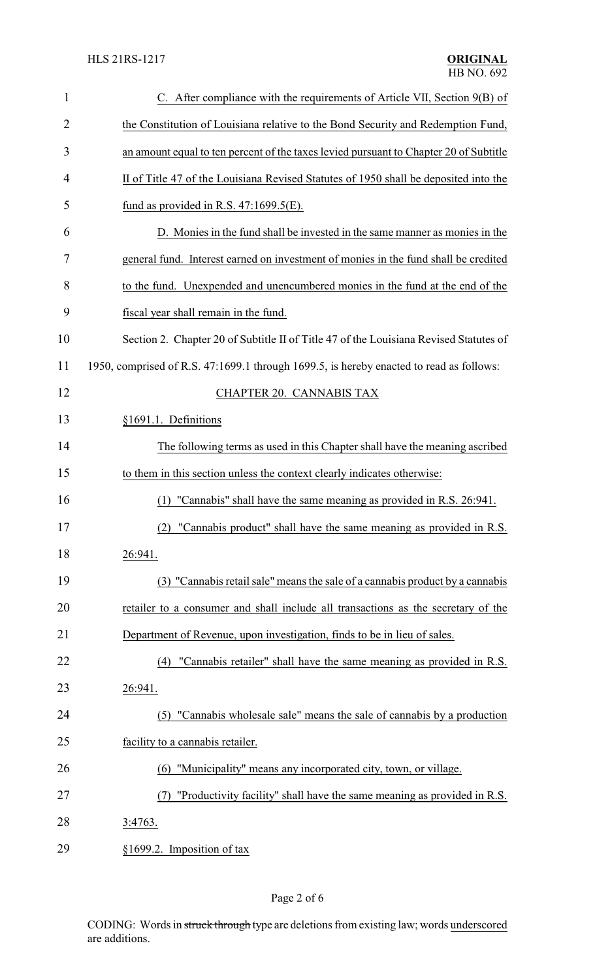| 1              | C. After compliance with the requirements of Article VII, Section 9(B) of               |
|----------------|-----------------------------------------------------------------------------------------|
| $\overline{2}$ | the Constitution of Louisiana relative to the Bond Security and Redemption Fund,        |
| 3              | an amount equal to ten percent of the taxes levied pursuant to Chapter 20 of Subtitle   |
| 4              | II of Title 47 of the Louisiana Revised Statutes of 1950 shall be deposited into the    |
| 5              | fund as provided in R.S. $47:1699.5(E)$ .                                               |
| 6              | D. Monies in the fund shall be invested in the same manner as monies in the             |
| 7              | general fund. Interest earned on investment of monies in the fund shall be credited     |
| 8              | to the fund. Unexpended and unencumbered monies in the fund at the end of the           |
| 9              | fiscal year shall remain in the fund.                                                   |
| 10             | Section 2. Chapter 20 of Subtitle II of Title 47 of the Louisiana Revised Statutes of   |
| 11             | 1950, comprised of R.S. 47:1699.1 through 1699.5, is hereby enacted to read as follows: |
| 12             | <b>CHAPTER 20. CANNABIS TAX</b>                                                         |
| 13             | §1691.1. Definitions                                                                    |
| 14             | The following terms as used in this Chapter shall have the meaning ascribed             |
| 15             | to them in this section unless the context clearly indicates otherwise:                 |
| 16             | "Cannabis" shall have the same meaning as provided in R.S. 26:941.<br>(1)               |
| 17             | (2) "Cannabis product" shall have the same meaning as provided in R.S.                  |
| 18             | 26:941.                                                                                 |
| 19             | (3) "Cannabis retail sale" means the sale of a cannabis product by a cannabis           |
| 20             | retailer to a consumer and shall include all transactions as the secretary of the       |
| 21             | Department of Revenue, upon investigation, finds to be in lieu of sales.                |
| 22             | "Cannabis retailer" shall have the same meaning as provided in R.S.<br>(4)              |
| 23             | 26:941.                                                                                 |
| 24             | (5) "Cannabis wholesale sale" means the sale of cannabis by a production                |
| 25             | facility to a cannabis retailer.                                                        |
| 26             | (6) "Municipality" means any incorporated city, town, or village.                       |
| 27             | "Productivity facility" shall have the same meaning as provided in R.S.                 |
| 28             | 3:4763.                                                                                 |
| 29             | §1699.2. Imposition of tax                                                              |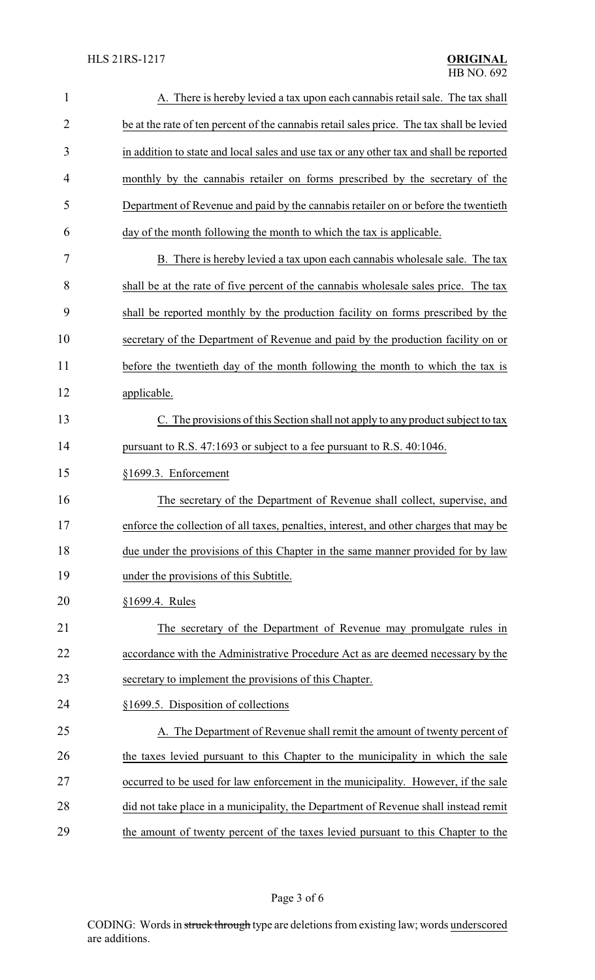| $\mathbf{1}$   | A. There is hereby levied a tax upon each cannabis retail sale. The tax shall             |
|----------------|-------------------------------------------------------------------------------------------|
| $\overline{2}$ | be at the rate of ten percent of the cannabis retail sales price. The tax shall be levied |
| 3              | in addition to state and local sales and use tax or any other tax and shall be reported   |
| 4              | monthly by the cannabis retailer on forms prescribed by the secretary of the              |
| 5              | Department of Revenue and paid by the cannabis retailer on or before the twentieth        |
| 6              | day of the month following the month to which the tax is applicable.                      |
| 7              | B. There is hereby levied a tax upon each cannabis wholesale sale. The tax                |
| 8              | shall be at the rate of five percent of the cannabis wholesale sales price. The tax       |
| 9              | shall be reported monthly by the production facility on forms prescribed by the           |
| 10             | secretary of the Department of Revenue and paid by the production facility on or          |
| 11             | before the twentieth day of the month following the month to which the tax is             |
| 12             | applicable.                                                                               |
| 13             | C. The provisions of this Section shall not apply to any product subject to tax           |
| 14             | pursuant to R.S. 47:1693 or subject to a fee pursuant to R.S. 40:1046.                    |
| 15             | §1699.3. Enforcement                                                                      |
| 16             | The secretary of the Department of Revenue shall collect, supervise, and                  |
| 17             | enforce the collection of all taxes, penalties, interest, and other charges that may be   |
| 18             | due under the provisions of this Chapter in the same manner provided for by law           |
| 19             | under the provisions of this Subtitle.                                                    |
| 20             | §1699.4. Rules                                                                            |
| 21             | The secretary of the Department of Revenue may promulgate rules in                        |
| 22             | accordance with the Administrative Procedure Act as are deemed necessary by the           |
| 23             | secretary to implement the provisions of this Chapter.                                    |
| 24             | §1699.5. Disposition of collections                                                       |
| 25             | A. The Department of Revenue shall remit the amount of twenty percent of                  |
| 26             | the taxes levied pursuant to this Chapter to the municipality in which the sale           |
| 27             | occurred to be used for law enforcement in the municipality. However, if the sale         |
| 28             | did not take place in a municipality, the Department of Revenue shall instead remit       |
| 29             | the amount of twenty percent of the taxes levied pursuant to this Chapter to the          |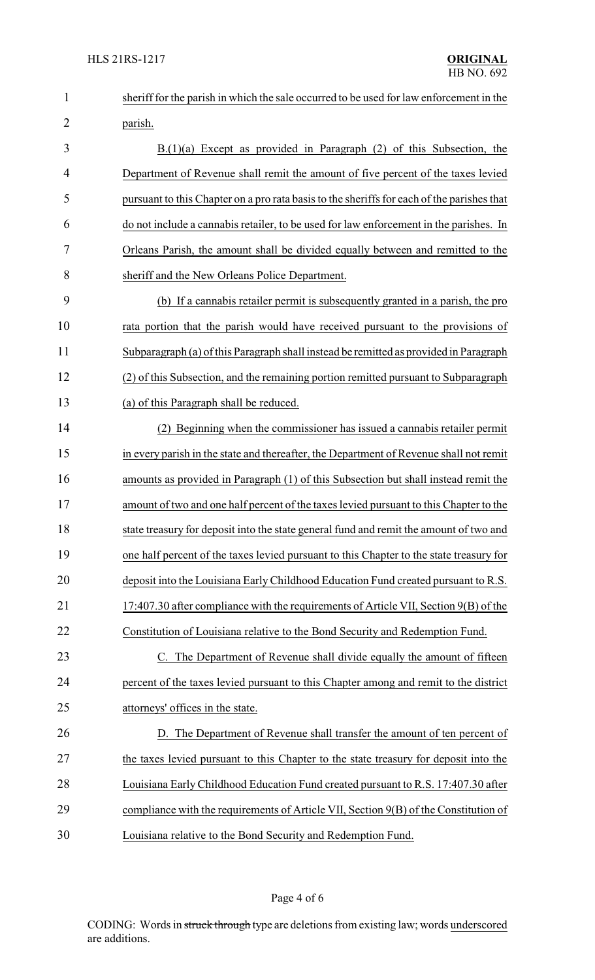| $\mathbf{1}$   | sheriff for the parish in which the sale occurred to be used for law enforcement in the    |
|----------------|--------------------------------------------------------------------------------------------|
| $\overline{2}$ | parish.                                                                                    |
| 3              | $B(1)(a)$ Except as provided in Paragraph (2) of this Subsection, the                      |
| $\overline{4}$ | Department of Revenue shall remit the amount of five percent of the taxes levied           |
| 5              | pursuant to this Chapter on a pro rata basis to the sheriffs for each of the parishes that |
| 6              | do not include a cannabis retailer, to be used for law enforcement in the parishes. In     |
| 7              | Orleans Parish, the amount shall be divided equally between and remitted to the            |
| 8              | sheriff and the New Orleans Police Department.                                             |
| 9              | (b) If a cannabis retailer permit is subsequently granted in a parish, the pro             |
| 10             | rata portion that the parish would have received pursuant to the provisions of             |
| 11             | Subparagraph (a) of this Paragraph shall instead be remitted as provided in Paragraph      |
| 12             | (2) of this Subsection, and the remaining portion remitted pursuant to Subparagraph        |
| 13             | (a) of this Paragraph shall be reduced.                                                    |
| 14             | Beginning when the commissioner has issued a cannabis retailer permit                      |
| 15             | in every parish in the state and thereafter, the Department of Revenue shall not remit     |
| 16             | amounts as provided in Paragraph (1) of this Subsection but shall instead remit the        |
| 17             | amount of two and one half percent of the taxes levied pursuant to this Chapter to the     |
| 18             | state treasury for deposit into the state general fund and remit the amount of two and     |
| 19             | one half percent of the taxes levied pursuant to this Chapter to the state treasury for    |
| 20             | deposit into the Louisiana Early Childhood Education Fund created pursuant to R.S.         |
| 21             | 17:407.30 after compliance with the requirements of Article VII, Section 9(B) of the       |
| 22             | Constitution of Louisiana relative to the Bond Security and Redemption Fund.               |
| 23             | C. The Department of Revenue shall divide equally the amount of fifteen                    |
| 24             | percent of the taxes levied pursuant to this Chapter among and remit to the district       |
| 25             | attorneys' offices in the state.                                                           |
| 26             | D. The Department of Revenue shall transfer the amount of ten percent of                   |
| 27             | the taxes levied pursuant to this Chapter to the state treasury for deposit into the       |
| 28             | Louisiana Early Childhood Education Fund created pursuant to R.S. 17:407.30 after          |
| 29             | compliance with the requirements of Article VII, Section 9(B) of the Constitution of       |
| 30             | Louisiana relative to the Bond Security and Redemption Fund.                               |

# Page 4 of 6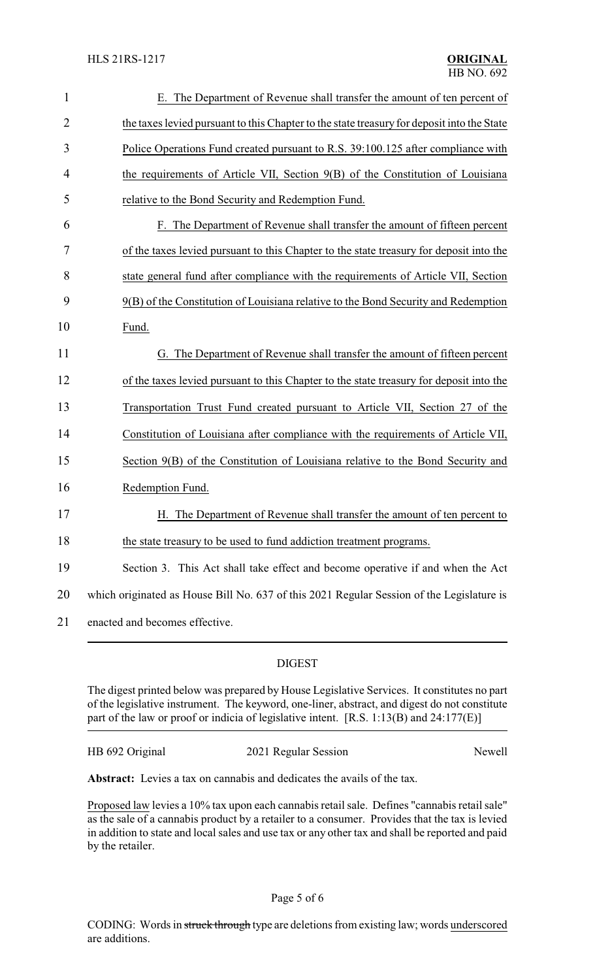| $\mathbf{1}$   | E. The Department of Revenue shall transfer the amount of ten percent of                   |
|----------------|--------------------------------------------------------------------------------------------|
| $\overline{2}$ | the taxes levied pursuant to this Chapter to the state treasury for deposit into the State |
| 3              | Police Operations Fund created pursuant to R.S. 39:100.125 after compliance with           |
| 4              | the requirements of Article VII, Section 9(B) of the Constitution of Louisiana             |
| 5              | relative to the Bond Security and Redemption Fund.                                         |
| 6              | F. The Department of Revenue shall transfer the amount of fifteen percent                  |
| 7              | of the taxes levied pursuant to this Chapter to the state treasury for deposit into the    |
| 8              | state general fund after compliance with the requirements of Article VII, Section          |
| 9              | 9(B) of the Constitution of Louisiana relative to the Bond Security and Redemption         |
| 10             | Fund.                                                                                      |
| 11             | G. The Department of Revenue shall transfer the amount of fifteen percent                  |
| 12             | of the taxes levied pursuant to this Chapter to the state treasury for deposit into the    |
| 13             | Transportation Trust Fund created pursuant to Article VII, Section 27 of the               |
| 14             | Constitution of Louisiana after compliance with the requirements of Article VII,           |
| 15             | Section 9(B) of the Constitution of Louisiana relative to the Bond Security and            |
| 16             | Redemption Fund.                                                                           |
| 17             | H. The Department of Revenue shall transfer the amount of ten percent to                   |
| 18             | the state treasury to be used to fund addiction treatment programs.                        |
| 19             | Section 3. This Act shall take effect and become operative if and when the Act             |
|                |                                                                                            |
| 20             | which originated as House Bill No. 637 of this 2021 Regular Session of the Legislature is  |
| 21             | enacted and becomes effective.                                                             |

#### DIGEST

The digest printed below was prepared by House Legislative Services. It constitutes no part of the legislative instrument. The keyword, one-liner, abstract, and digest do not constitute part of the law or proof or indicia of legislative intent. [R.S. 1:13(B) and 24:177(E)]

HB 692 Original 2021 Regular Session Newell

**Abstract:** Levies a tax on cannabis and dedicates the avails of the tax.

Proposed law levies a 10% tax upon each cannabis retail sale. Defines "cannabis retail sale" as the sale of a cannabis product by a retailer to a consumer. Provides that the tax is levied in addition to state and local sales and use tax or any other tax and shall be reported and paid by the retailer.